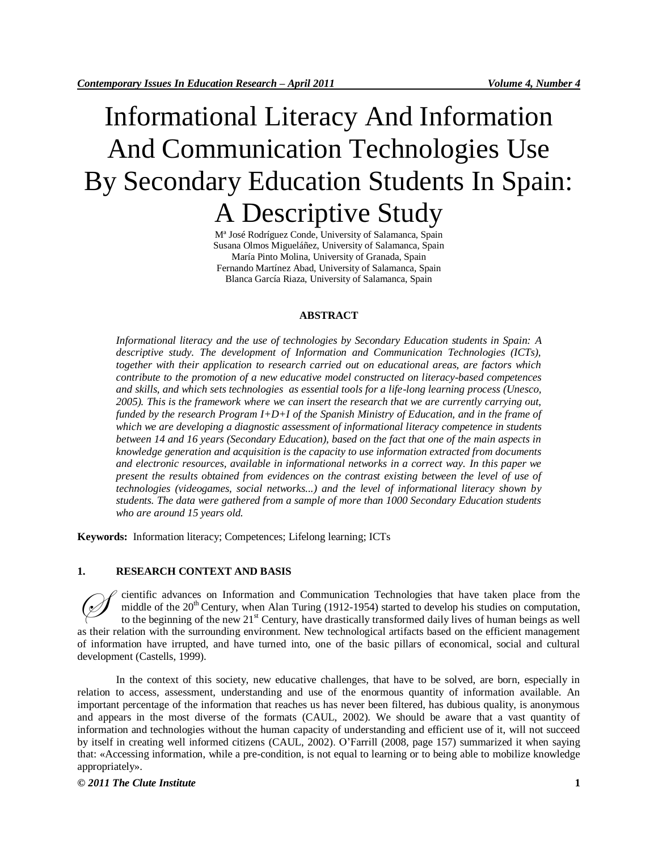# Informational Literacy And Information And Communication Technologies Use By Secondary Education Students In Spain: A Descriptive Study

Mª José Rodríguez Conde, University of Salamanca, Spain Susana Olmos Migueláñez, University of Salamanca, Spain María Pinto Molina, University of Granada, Spain Fernando Martínez Abad, University of Salamanca, Spain Blanca García Riaza, University of Salamanca, Spain

## **ABSTRACT**

*Informational literacy and the use of technologies by Secondary Education students in Spain: A descriptive study. The development of Information and Communication Technologies (ICTs), together with their application to research carried out on educational areas, are factors which contribute to the promotion of a new educative model constructed on literacy-based competences and skills, and which sets technologies as essential tools for a life-long learning process (Unesco, 2005). This is the framework where we can insert the research that we are currently carrying out, funded by the research Program I+D+I of the Spanish Ministry of Education, and in the frame of which we are developing a diagnostic assessment of informational literacy competence in students between 14 and 16 years (Secondary Education), based on the fact that one of the main aspects in knowledge generation and acquisition is the capacity to use information extracted from documents and electronic resources, available in informational networks in a correct way. In this paper we present the results obtained from evidences on the contrast existing between the level of use of technologies (videogames, social networks...) and the level of informational literacy shown by students. The data were gathered from a sample of more than 1000 Secondary Education students who are around 15 years old.*

**Keywords:** Information literacy; Competences; Lifelong learning; ICTs

#### **1. RESEARCH CONTEXT AND BASIS**

cientific advances on Information and Communication Technologies that have taken place from the middle of the  $20^{\text{th}}$  Century, when Alan Turing (1912-1954) started to develop his studies on computation, to the beginning of the new  $21<sup>st</sup>$  Century, have drastically transformed daily lives of human beings as well as their relation with the surrounding environment. New technological artifacts based on the efficient management of information have irrupted, and have turned into, one of the basic pillars of economical, social and cultural development (Castells, 1999).  $\oslash$ 

In the context of this society, new educative challenges, that have to be solved, are born, especially in relation to access, assessment, understanding and use of the enormous quantity of information available. An important percentage of the information that reaches us has never been filtered, has dubious quality, is anonymous and appears in the most diverse of the formats (CAUL, 2002). We should be aware that a vast quantity of information and technologies without the human capacity of understanding and efficient use of it, will not succeed by itself in creating well informed citizens (CAUL, 2002). O'Farrill (2008, page 157) summarized it when saying that: «Accessing information, while a pre-condition, is not equal to learning or to being able to mobilize knowledge appropriately».

*© 2011 The Clute Institute* **1**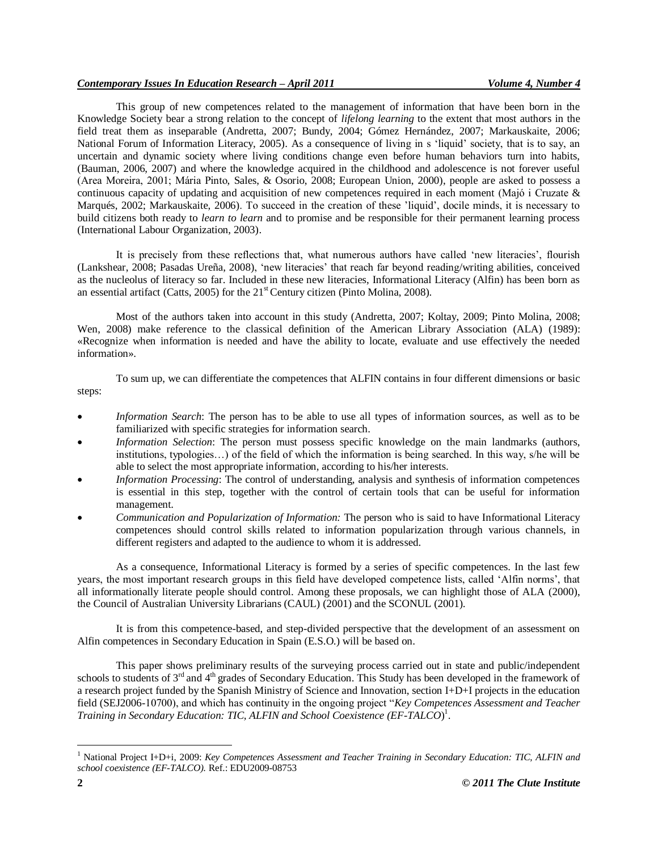This group of new competences related to the management of information that have been born in the Knowledge Society bear a strong relation to the concept of *lifelong learning* to the extent that most authors in the field treat them as inseparable (Andretta, 2007; Bundy, 2004; Gómez Hernández, 2007; Markauskaite, 2006; National Forum of Information Literacy, 2005). As a consequence of living in s 'liquid' society, that is to say, an uncertain and dynamic society where living conditions change even before human behaviors turn into habits, (Bauman, 2006, 2007) and where the knowledge acquired in the childhood and adolescence is not forever useful (Area Moreira, 2001; Mária Pinto, Sales, & Osorio, 2008; European Union, 2000), people are asked to possess a continuous capacity of updating and acquisition of new competences required in each moment (Majó i Cruzate  $\&$ Marqués, 2002; Markauskaite, 2006). To succeed in the creation of these 'liquid', docile minds, it is necessary to build citizens both ready to *learn to learn* and to promise and be responsible for their permanent learning process (International Labour Organization, 2003).

It is precisely from these reflections that, what numerous authors have called 'new literacies', flourish (Lankshear, 2008; Pasadas Ureña, 2008), 'new literacies' that reach far beyond reading/writing abilities, conceived as the nucleolus of literacy so far. Included in these new literacies, Informational Literacy (Alfin) has been born as an essential artifact (Catts, 2005) for the  $21<sup>st</sup>$  Century citizen (Pinto Molina, 2008).

Most of the authors taken into account in this study (Andretta, 2007; Koltay, 2009; Pinto Molina, 2008; Wen, 2008) make reference to the classical definition of the American Library Association (ALA) (1989): «Recognize when information is needed and have the ability to locate, evaluate and use effectively the needed information».

To sum up, we can differentiate the competences that ALFIN contains in four different dimensions or basic steps:

- *Information Search*: The person has to be able to use all types of information sources, as well as to be familiarized with specific strategies for information search.
- *Information Selection*: The person must possess specific knowledge on the main landmarks (authors, institutions, typologies…) of the field of which the information is being searched. In this way, s/he will be able to select the most appropriate information, according to his/her interests.
- *Information Processing*: The control of understanding, analysis and synthesis of information competences is essential in this step, together with the control of certain tools that can be useful for information management.
- *Communication and Popularization of Information:* The person who is said to have Informational Literacy competences should control skills related to information popularization through various channels, in different registers and adapted to the audience to whom it is addressed.

As a consequence, Informational Literacy is formed by a series of specific competences. In the last few years, the most important research groups in this field have developed competence lists, called 'Alfin norms', that all informationally literate people should control. Among these proposals, we can highlight those of ALA (2000), the Council of Australian University Librarians (CAUL) (2001) and the SCONUL (2001).

It is from this competence-based, and step-divided perspective that the development of an assessment on Alfin competences in Secondary Education in Spain (E.S.O.) will be based on.

This paper shows preliminary results of the surveying process carried out in state and public/independent schools to students of 3<sup>rd</sup> and 4<sup>th</sup> grades of Secondary Education. This Study has been developed in the framework of a research project funded by the Spanish Ministry of Science and Innovation, section I+D+I projects in the education field (SEJ2006-10700), and which has continuity in the ongoing project "*Key Competences Assessment and Teacher Training in Secondary Education: TIC, ALFIN and School Coexistence (EF-TALCO*) 1 .

 $\overline{a}$ 

<sup>&</sup>lt;sup>1</sup> National Project I+D+i, 2009: *Key Competences Assessment and Teacher Training in Secondary Education: TIC, ALFIN and school coexistence (EF-TALCO).* Ref.: EDU2009-08753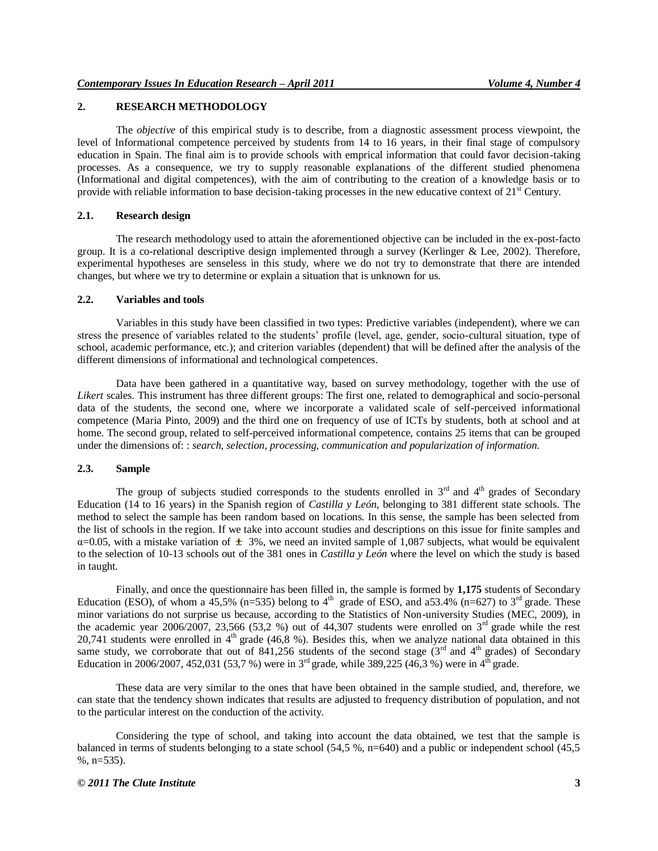# **2. RESEARCH METHODOLOGY**

The *objective* of this empirical study is to describe, from a diagnostic assessment process viewpoint, the level of Informational competence perceived by students from 14 to 16 years, in their final stage of compulsory education in Spain. The final aim is to provide schools with emprical information that could favor decision-taking processes. As a consequence, we try to supply reasonable explanations of the different studied phenomena (Informational and digital competences), with the aim of contributing to the creation of a knowledge basis or to provide with reliable information to base decision-taking processes in the new educative context of  $21<sup>st</sup>$  Century.

#### **2.1. Research design**

The research methodology used to attain the aforementioned objective can be included in the ex-post-facto group. It is a co-relational descriptive design implemented through a survey (Kerlinger & Lee, 2002). Therefore, experimental hypotheses are senseless in this study, where we do not try to demonstrate that there are intended changes, but where we try to determine or explain a situation that is unknown for us.

## **2.2. Variables and tools**

Variables in this study have been classified in two types: Predictive variables (independent), where we can stress the presence of variables related to the students' profile level, age, gender, socio-cultural situation, type of school, academic performance, etc.); and criterion variables (dependent) that will be defined after the analysis of the different dimensions of informational and technological competences.

Data have been gathered in a quantitative way, based on survey methodology, together with the use of *Likert* scales. This instrument has three different groups: The first one, related to demographical and socio-personal data of the students, the second one, where we incorporate a validated scale of self-perceived informational competence (Maria Pinto, 2009) and the third one on frequency of use of ICTs by students, both at school and at home. The second group, related to self-perceived informational competence, contains 25 items that can be grouped under the dimensions of: : *search, selection, processing, communication and popularization of information.*

## **2.3. Sample**

The group of subjects studied corresponds to the students enrolled in  $3<sup>rd</sup>$  and  $4<sup>th</sup>$  grades of Secondary Education (14 to 16 years) in the Spanish region of *Castilla y León*, belonging to 381 different state schools. The method to select the sample has been random based on locations. In this sense, the sample has been selected from the list of schools in the region. If we take into account studies and descriptions on this issue for finite samples and  $\alpha$ =0.05, with a mistake variation of  $\pm$  3%, we need an invited sample of 1,087 subjects, what would be equivalent to the selection of 10-13 schools out of the 381 ones in *Castilla y León* where the level on which the study is based in taught.

Finally, and once the questionnaire has been filled in, the sample is formed by 1,175 students of Secondary Education (ESO), of whom a  $45,5\%$  (n=535) belong to  $4<sup>th</sup>$  grade of ESO, and a53.4% (n=627) to 3<sup>rd</sup> grade. These minor variations do not surprise us because, according to the Statistics of Non-university Studies (MEC, 2009), in the academic year 2006/2007, 23,566 (53,2 %) out of 44,307 students were enrolled on  $3<sup>rd</sup>$  grade while the rest 20,741 students were enrolled in  $4<sup>th</sup>$  grade (46,8 %). Besides this, when we analyze national data obtained in this same study, we corroborate that out of 841,256 students of the second stage  $(3<sup>rd</sup>$  and 4<sup>th</sup> grades) of Secondary Education in 2006/2007, 452,031 (53,7 %) were in 3<sup>rd</sup> grade, while 389,225 (46,3 %) were in 4<sup>th</sup> grade.

These data are very similar to the ones that have been obtained in the sample studied, and, therefore, we can state that the tendency shown indicates that results are adjusted to frequency distribution of population, and not to the particular interest on the conduction of the activity.

Considering the type of school, and taking into account the data obtained, we test that the sample is balanced in terms of students belonging to a state school (54,5 %, n=640) and a public or independent school (45,5  $%$ , n=535).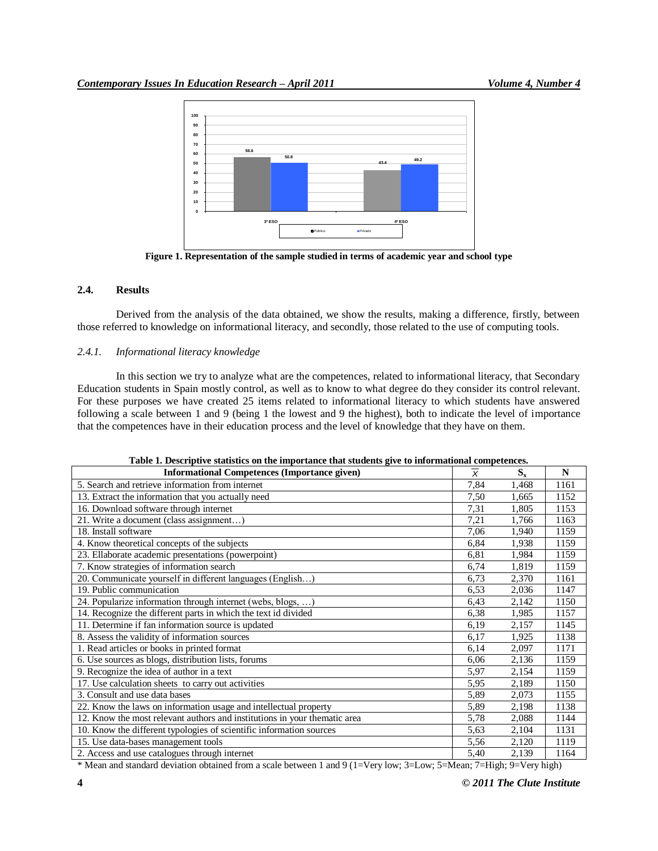

**Figure 1. Representation of the sample studied in terms of academic year and school type**

# **2.4. Results**

Derived from the analysis of the data obtained, we show the results, making a difference, firstly, between those referred to knowledge on informational literacy, and secondly, those related to the use of computing tools.

## *2.4.1. Informational literacy knowledge*

In this section we try to analyze what are the competences, related to informational literacy, that Secondary Education students in Spain mostly control, as well as to know to what degree do they consider its control relevant. For these purposes we have created 25 items related to informational literacy to which students have answered following a scale between 1 and 9 (being 1 the lowest and 9 the highest), both to indicate the level of importance that the competences have in their education process and the level of knowledge that they have on them.

| <b>Informational Competences (Importance given)</b>                       | $\overline{\overline{x}}$ | $S_{x}$ | N    |
|---------------------------------------------------------------------------|---------------------------|---------|------|
| 5. Search and retrieve information from internet                          | 7,84                      | 1,468   | 1161 |
| 13. Extract the information that you actually need                        | 7,50                      | 1,665   | 1152 |
| 16. Download software through internet                                    | 7,31                      | 1,805   | 1153 |
| 21. Write a document (class assignment)                                   | 7,21                      | 1,766   | 1163 |
| 18. Install software                                                      | 7,06                      | 1,940   | 1159 |
| 4. Know theoretical concepts of the subjects                              | 6,84                      | 1,938   | 1159 |
| 23. Ellaborate academic presentations (powerpoint)                        | 6,81                      | 1,984   | 1159 |
| 7. Know strategies of information search                                  | 6,74                      | 1,819   | 1159 |
| 20. Communicate yourself in different languages (English)                 | 6,73                      | 2,370   | 1161 |
| 19. Public communication                                                  | 6,53                      | 2,036   | 1147 |
| 24. Popularize information through internet (webs, blogs, )               | 6,43                      | 2,142   | 1150 |
| 14. Recognize the different parts in which the text id divided            | 6,38                      | 1,985   | 1157 |
| 11. Determine if fan information source is updated                        | 6,19                      | 2,157   | 1145 |
| 8. Assess the validity of information sources                             | 6,17                      | 1,925   | 1138 |
| 1. Read articles or books in printed format                               | 6,14                      | 2,097   | 1171 |
| 6. Use sources as blogs, distribution lists, forums                       | 6,06                      | 2,136   | 1159 |
| 9. Recognize the idea of author in a text                                 | 5,97                      | 2,154   | 1159 |
| 17. Use calculation sheets to carry out activities                        | 5,95                      | 2,189   | 1150 |
| 3. Consult and use data bases                                             | 5,89                      | 2,073   | 1155 |
| 22. Know the laws on information usage and intellectual property          | 5,89                      | 2,198   | 1138 |
| 12. Know the most relevant authors and institutions in your thematic area | 5,78                      | 2,088   | 1144 |
| 10. Know the different typologies of scientific information sources       | 5,63                      | 2,104   | 1131 |
| 15. Use data-bases management tools                                       | 5,56                      | 2,120   | 1119 |
| 2. Access and use catalogues through internet                             | 5,40                      | 2,139   | 1164 |

|  | Table 1. Descriptive statistics on the importance that students give to informational competences. |
|--|----------------------------------------------------------------------------------------------------|
|  |                                                                                                    |

\* Mean and standard deviation obtained from a scale between 1 and 9 (1=Very low; 3=Low; 5=Mean; 7=High; 9=Very high)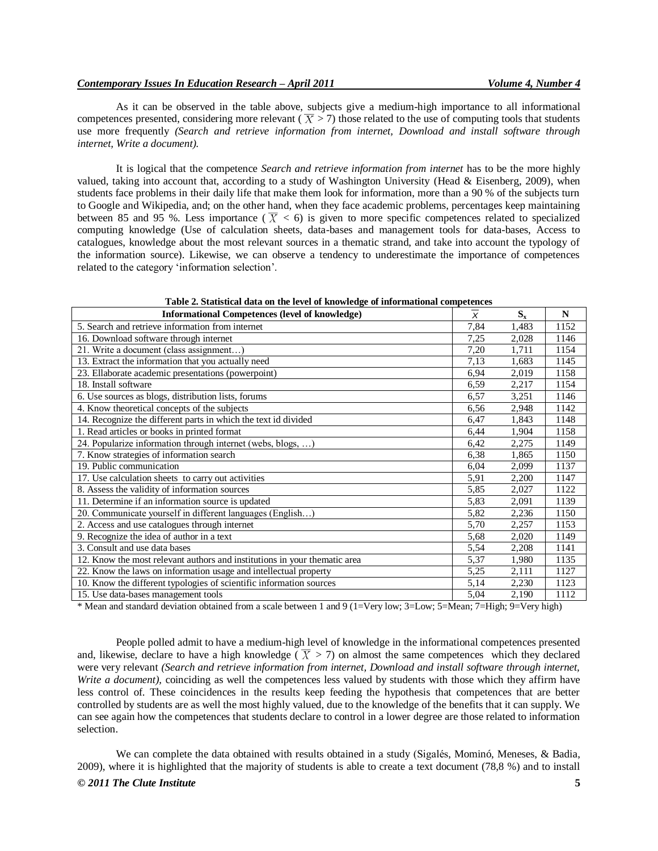As it can be observed in the table above, subjects give a medium-high importance to all informational competences presented, considering more relevant ( $\overline{X} > 7$ ) those related to the use of computing tools that students use more frequently *(Search and retrieve information from internet, Download and install software through internet, Write a document).*

It is logical that the competence *Search and retrieve information from internet* has to be the more highly valued, taking into account that, according to a study of Washington University (Head & Eisenberg, 2009), when students face problems in their daily life that make them look for information, more than a 90 % of the subjects turn to Google and Wikipedia, and; on the other hand, when they face academic problems, percentages keep maintaining between 85 and 95 %. Less importance ( $\overline{X}$  < 6) is given to more specific competences related to specialized computing knowledge (Use of calculation sheets, data-bases and management tools for data-bases, Access to catalogues, knowledge about the most relevant sources in a thematic strand, and take into account the typology of the information source). Likewise, we can observe a tendency to underestimate the importance of competences related to the category 'information selection'.

| <b>Informational Competences (level of knowledge)</b>                     | $\overline{x}$ | $S_{x}$ | N    |
|---------------------------------------------------------------------------|----------------|---------|------|
| 5. Search and retrieve information from internet                          | 7,84           | 1,483   | 1152 |
| 16. Download software through internet                                    | 7,25           | 2,028   | 1146 |
| 21. Write a document (class assignment)                                   | 7,20           | 1,711   | 1154 |
| 13. Extract the information that you actually need                        | 7,13           | 1,683   | 1145 |
| 23. Ellaborate academic presentations (powerpoint)                        | 6,94           | 2,019   | 1158 |
| 18. Install software                                                      | 6,59           | 2,217   | 1154 |
| 6. Use sources as blogs, distribution lists, forums                       | 6,57           | 3,251   | 1146 |
| 4. Know theoretical concepts of the subjects                              | 6,56           | 2,948   | 1142 |
| 14. Recognize the different parts in which the text id divided            | 6,47           | 1,843   | 1148 |
| 1. Read articles or books in printed format                               | 6,44           | 1,904   | 1158 |
| 24. Popularize information through internet (webs, blogs, )               | 6,42           | 2,275   | 1149 |
| 7. Know strategies of information search                                  | 6,38           | 1,865   | 1150 |
| 19. Public communication                                                  | 6,04           | 2,099   | 1137 |
| 17. Use calculation sheets to carry out activities                        | 5,91           | 2,200   | 1147 |
| 8. Assess the validity of information sources                             | 5,85           | 2,027   | 1122 |
| 11. Determine if an information source is updated                         | 5,83           | 2,091   | 1139 |
| 20. Communicate yourself in different languages (English)                 | 5,82           | 2,236   | 1150 |
| 2. Access and use catalogues through internet                             | 5,70           | 2,257   | 1153 |
| 9. Recognize the idea of author in a text                                 | 5,68           | 2,020   | 1149 |
| 3. Consult and use data bases                                             | 5,54           | 2,208   | 1141 |
| 12. Know the most relevant authors and institutions in your thematic area | 5,37           | 1,980   | 1135 |
| 22. Know the laws on information usage and intellectual property          | 5,25           | 2,111   | 1127 |
| 10. Know the different typologies of scientific information sources       | 5,14           | 2,230   | 1123 |
| 15. Use data-bases management tools                                       | 5,04           | 2,190   | 1112 |

# **Table 2. Statistical data on the level of knowledge of informational competences**

\* Mean and standard deviation obtained from a scale between 1 and 9 (1=Very low; 3=Low; 5=Mean; 7=High; 9=Very high)

People polled admit to have a medium-high level of knowledge in the informational competences presented and, likewise, declare to have a high knowledge  $(\overline{X} > 7)$  on almost the same competences which they declared were very relevant *(Search and retrieve information from internet, Download and install software through internet, Write a document),* coinciding as well the competences less valued by students with those which they affirm have less control of. These coincidences in the results keep feeding the hypothesis that competences that are better controlled by students are as well the most highly valued, due to the knowledge of the benefits that it can supply. We can see again how the competences that students declare to control in a lower degree are those related to information selection.

*© 2011 The Clute Institute* **5** We can complete the data obtained with results obtained in a study (Sigalés, Mominó, Meneses,  $\&$  Badia, 2009), where it is highlighted that the majority of students is able to create a text document (78,8 %) and to install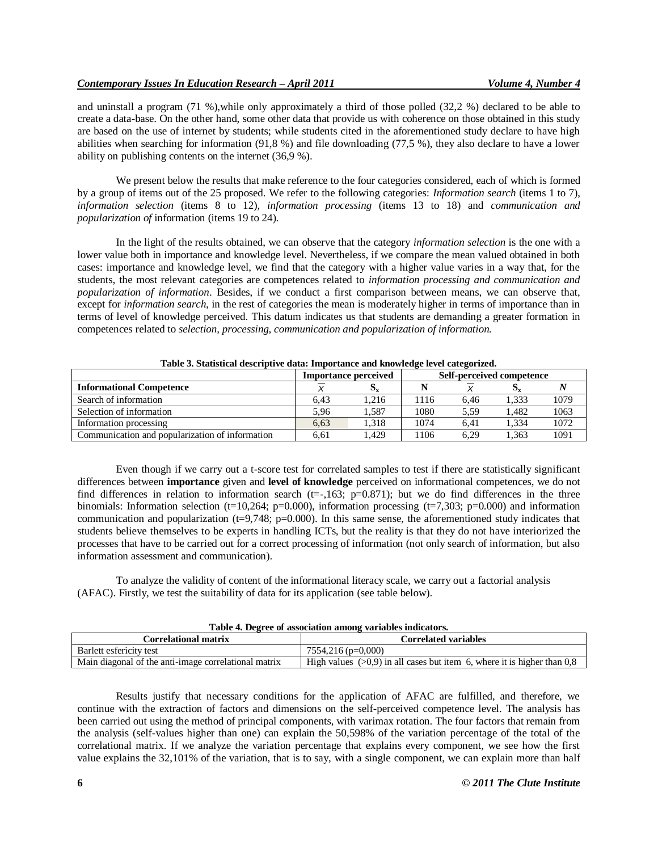and uninstall a program (71 %),while only approximately a third of those polled (32,2 %) declared to be able to create a data-base. On the other hand, some other data that provide us with coherence on those obtained in this study are based on the use of internet by students; while students cited in the aforementioned study declare to have high abilities when searching for information (91,8 %) and file downloading (77,5 %), they also declare to have a lower ability on publishing contents on the internet (36,9 %).

We present below the results that make reference to the four categories considered, each of which is formed by a group of items out of the 25 proposed. We refer to the following categories: *Information search* (items 1 to 7), *information selection* (items 8 to 12), *information processing* (items 13 to 18) and *communication and popularization of* information (items 19 to 24).

In the light of the results obtained, we can observe that the category *information selection* is the one with a lower value both in importance and knowledge level. Nevertheless, if we compare the mean valued obtained in both cases: importance and knowledge level, we find that the category with a higher value varies in a way that, for the students, the most relevant categories are competences related to *information processing and communication and popularization of information*. Besides, if we conduct a first comparison between means, we can observe that, except for *information search,* in the rest of categories the mean is moderately higher in terms of importance than in terms of level of knowledge perceived. This datum indicates us that students are demanding a greater formation in competences related to *selection, processing, communication and popularization of information.*

|                                                 | Self-perceived competence<br><b>Importance perceived</b> |       |      |      |       |      |
|-------------------------------------------------|----------------------------------------------------------|-------|------|------|-------|------|
| <b>Informational Competence</b>                 |                                                          | Dv.   |      |      |       |      |
| Search of information                           | 6.43                                                     | 1.216 | .116 | 6.46 | 1.333 | 1079 |
| Selection of information                        | 5.96                                                     | 1.587 | 1080 | 5.59 | 1.482 | 1063 |
| Information processing                          | 6.63                                                     | 1.318 | 1074 | 6.41 | 1.334 | 1072 |
| Communication and popularization of information | 6.61                                                     | .429  | 106  | 6.29 | 1.363 | 1091 |

**Table 3. Statistical descriptive data: Importance and knowledge level categorized.**

Even though if we carry out a t-score test for correlated samples to test if there are statistically significant differences between **importance** given and **level of knowledge** perceived on informational competences, we do not find differences in relation to information search (t= $-163$ ; p=0.871); but we do find differences in the three binomials: Information selection (t=10,264; p=0.000), information processing (t=7,303; p=0.000) and information communication and popularization  $(t=9,748; p=0.000)$ . In this same sense, the aforementioned study indicates that students believe themselves to be experts in handling ICTs, but the reality is that they do not have interiorized the processes that have to be carried out for a correct processing of information (not only search of information, but also information assessment and communication).

To analyze the validity of content of the informational literacy scale, we carry out a factorial analysis (AFAC). Firstly, we test the suitability of data for its application (see table below).

| Table 4. Degree of association among variables indicators. |                                                                             |  |  |  |  |  |
|------------------------------------------------------------|-----------------------------------------------------------------------------|--|--|--|--|--|
| <b>Correlational matrix</b>                                | <b>Correlated variables</b>                                                 |  |  |  |  |  |
| Barlett esfericity test                                    | $7554.216$ (p=0,000)                                                        |  |  |  |  |  |
| Main diagonal of the anti-image correlational matrix       | High values ( $>0.9$ ) in all cases but item 6, where it is higher than 0.8 |  |  |  |  |  |

Results justify that necessary conditions for the application of AFAC are fulfilled, and therefore, we continue with the extraction of factors and dimensions on the self-perceived competence level. The analysis has been carried out using the method of principal components, with varimax rotation. The four factors that remain from the analysis (self-values higher than one) can explain the 50,598% of the variation percentage of the total of the correlational matrix. If we analyze the variation percentage that explains every component, we see how the first value explains the 32,101% of the variation, that is to say, with a single component, we can explain more than half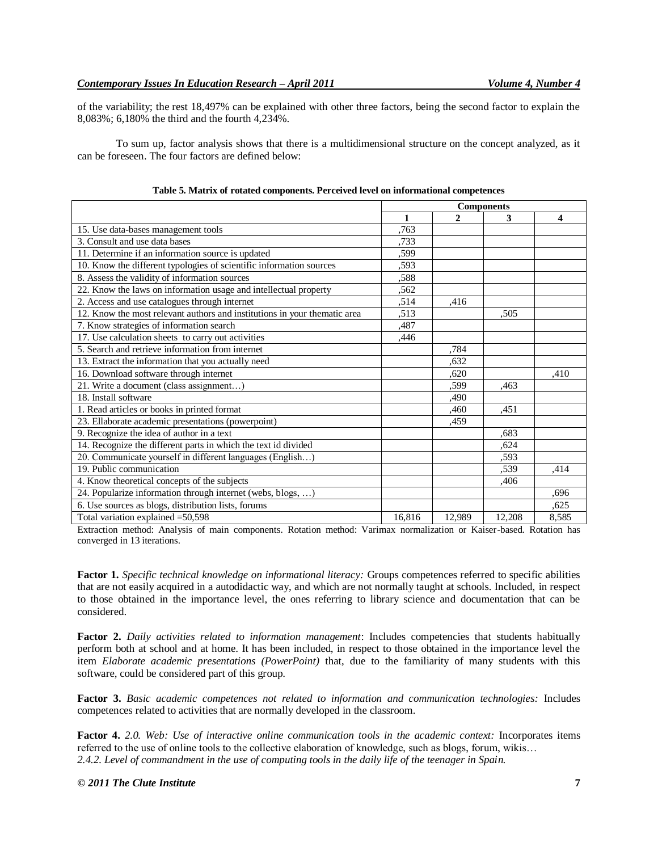of the variability; the rest 18,497% can be explained with other three factors, being the second factor to explain the 8,083%; 6,180% the third and the fourth 4,234%.

To sum up, factor analysis shows that there is a multidimensional structure on the concept analyzed, as it can be foreseen. The four factors are defined below:

|                                                                           | <b>Components</b> |              |        |       |
|---------------------------------------------------------------------------|-------------------|--------------|--------|-------|
|                                                                           | 1                 | $\mathbf{2}$ | 3      | 4     |
| 15. Use data-bases management tools                                       | .763              |              |        |       |
| 3. Consult and use data bases                                             | .733              |              |        |       |
| 11. Determine if an information source is updated                         | ,599              |              |        |       |
| 10. Know the different typologies of scientific information sources       | ,593              |              |        |       |
| 8. Assess the validity of information sources                             | .588              |              |        |       |
| 22. Know the laws on information usage and intellectual property          | ,562              |              |        |       |
| 2. Access and use catalogues through internet                             | .514              | ,416         |        |       |
| 12. Know the most relevant authors and institutions in your thematic area | ,513              |              | .505   |       |
| 7. Know strategies of information search                                  | ,487              |              |        |       |
| 17. Use calculation sheets to carry out activities                        | ,446              |              |        |       |
| 5. Search and retrieve information from internet                          |                   | .784         |        |       |
| 13. Extract the information that you actually need                        |                   | ,632         |        |       |
| 16. Download software through internet                                    |                   | ,620         |        | ,410  |
| 21. Write a document (class assignment)                                   |                   | ,599         | .463   |       |
| 18. Install software                                                      |                   | ,490         |        |       |
| 1. Read articles or books in printed format                               |                   | ,460         | ,451   |       |
| 23. Ellaborate academic presentations (powerpoint)                        |                   | ,459         |        |       |
| 9. Recognize the idea of author in a text                                 |                   |              | .683   |       |
| 14. Recognize the different parts in which the text id divided            |                   |              | ,624   |       |
| 20. Communicate yourself in different languages (English                  |                   |              | .593   |       |
| 19. Public communication                                                  |                   |              | .539   | .414  |
| 4. Know theoretical concepts of the subjects                              |                   |              | ,406   |       |
| 24. Popularize information through internet (webs, blogs, )               |                   |              |        | ,696  |
| 6. Use sources as blogs, distribution lists, forums                       |                   |              |        | ,625  |
| Total variation explained = 50,598                                        | 16.816            | 12,989       | 12.208 | 8,585 |

**Table 5. Matrix of rotated components. Perceived level on informational competences**

Extraction method: Analysis of main components. Rotation method: Varimax normalization or Kaiser-based. Rotation has converged in 13 iterations.

**Factor 1.** *Specific technical knowledge on informational literacy:* Groups competences referred to specific abilities that are not easily acquired in a autodidactic way, and which are not normally taught at schools. Included, in respect to those obtained in the importance level, the ones referring to library science and documentation that can be considered.

**Factor 2.** *Daily activities related to information management*: Includes competencies that students habitually perform both at school and at home. It has been included, in respect to those obtained in the importance level the item *Elaborate academic presentations (PowerPoint)* that, due to the familiarity of many students with this software, could be considered part of this group.

**Factor 3.** *Basic academic competences not related to information and communication technologies:* Includes competences related to activities that are normally developed in the classroom.

**Factor 4.** *2.0. Web: Use of interactive online communication tools in the academic context:* Incorporates items referred to the use of online tools to the collective elaboration of knowledge, such as blogs, forum, wikis… *2.4.2. Level of commandment in the use of computing tools in the daily life of the teenager in Spain.*

## *© 2011 The Clute Institute* **7**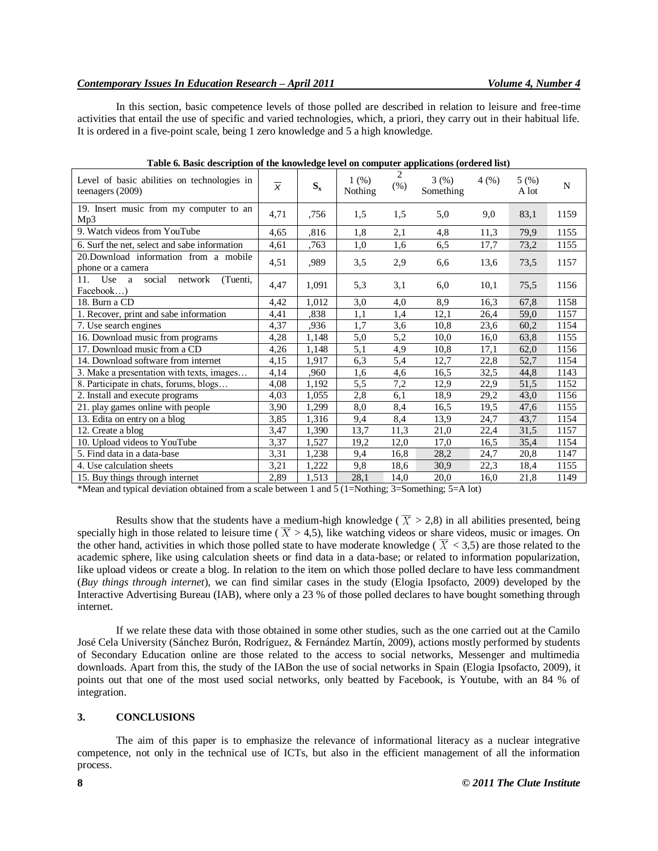In this section, basic competence levels of those polled are described in relation to leisure and free-time activities that entail the use of specific and varied technologies, which, a priori, they carry out in their habitual life. It is ordered in a five-point scale, being 1 zero knowledge and 5 a high knowledge.

| Level of basic abilities on technologies in<br>teenagers (2009) | $\overline{x}$ | $S_{x}$ | 1(%)<br>Nothing | 2<br>(% ) | 3(%)<br>Something | 4(%) | 5(%)<br>A lot | N    |
|-----------------------------------------------------------------|----------------|---------|-----------------|-----------|-------------------|------|---------------|------|
| 19. Insert music from my computer to an<br>Mp3                  | 4,71           | ,756    | 1.5             | 1,5       | 5,0               | 9,0  | 83,1          | 1159 |
| 9. Watch videos from YouTube                                    | 4,65           | ,816    | 1,8             | 2,1       | 4,8               | 11,3 | 79,9          | 1155 |
| 6. Surf the net, select and sabe information                    | 4,61           | ,763    | 1,0             | 1,6       | 6,5               | 17,7 | 73,2          | 1155 |
| 20.Download information from a mobile<br>phone or a camera      | 4,51           | ,989    | 3,5             | 2,9       | 6,6               | 13,6 | 73,5          | 1157 |
| social<br>Use<br>11.<br>network<br>(Tuenti,<br>a<br>Facebook    | 4,47           | 1,091   | 5,3             | 3,1       | 6,0               | 10,1 | 75,5          | 1156 |
| 18. Burn a CD                                                   | 4,42           | 1,012   | 3,0             | 4,0       | 8,9               | 16.3 | 67.8          | 1158 |
| 1. Recover, print and sabe information                          | 4,41           | ,838    | 1,1             | 1,4       | 12,1              | 26,4 | 59,0          | 1157 |
| 7. Use search engines                                           | 4,37           | ,936    | 1,7             | 3,6       | 10,8              | 23,6 | 60,2          | 1154 |
| 16. Download music from programs                                | 4,28           | 1,148   | 5,0             | 5,2       | 10,0              | 16,0 | 63,8          | 1155 |
| 17. Download music from a CD                                    | 4,26           | 1,148   | 5,1             | 4,9       | 10,8              | 17,1 | 62,0          | 1156 |
| 14. Download software from internet                             | 4,15           | 1,917   | 6,3             | 5,4       | 12,7              | 22,8 | 52,7          | 1154 |
| 3. Make a presentation with texts, images                       | 4,14           | .960    | 1,6             | 4,6       | 16,5              | 32,5 | 44,8          | 1143 |
| 8. Participate in chats, forums, blogs                          | 4,08           | 1,192   | 5,5             | 7,2       | 12,9              | 22,9 | 51,5          | 1152 |
| 2. Install and execute programs                                 | 4.03           | 1,055   | 2,8             | 6,1       | 18,9              | 29,2 | 43,0          | 1156 |
| 21. play games online with people                               | 3,90           | 1,299   | 8,0             | 8,4       | 16,5              | 19,5 | 47,6          | 1155 |
| 13. Edita on entry on a blog                                    | 3,85           | 1,316   | 9,4             | 8,4       | 13,9              | 24,7 | 43,7          | 1154 |
| 12. Create a blog                                               | 3,47           | 1,390   | 13,7            | 11,3      | 21,0              | 22,4 | 31,5          | 1157 |
| 10. Upload videos to YouTube                                    | 3,37           | 1,527   | 19,2            | 12,0      | 17,0              | 16,5 | 35,4          | 1154 |
| 5. Find data in a data-base                                     | 3,31           | 1,238   | 9,4             | 16,8      | 28,2              | 24,7 | 20,8          | 1147 |
| 4. Use calculation sheets                                       | 3,21           | 1,222   | 9,8             | 18,6      | 30,9              | 22,3 | 18,4          | 1155 |
| 15. Buy things through internet                                 | 2,89           | 1,513   | 28,1            | 14,0      | 20,0              | 16,0 | 21,8          | 1149 |

**Table 6. Basic description of the knowledge level on computer applications (ordered list)**

\*Mean and typical deviation obtained from a scale between 1 and 5 (1=Nothing; 3=Something; 5=A lot)

Results show that the students have a medium-high knowledge ( $\overline{X} > 2.8$ ) in all abilities presented, being specially high in those related to leisure time ( $\overline{X} > 4.5$ ), like watching videos or share videos, music or images. On the other hand, activities in which those polled state to have moderate knowledge ( $\overline{X}$  < 3,5) are those related to the academic sphere, like using calculation sheets or find data in a data-base; or related to information popularization, like upload videos or create a blog. In relation to the item on which those polled declare to have less commandment (*Buy things through internet*), we can find similar cases in the study (Elogia Ipsofacto, 2009) developed by the Interactive Advertising Bureau (IAB), where only a 23 % of those polled declares to have bought something through internet.

If we relate these data with those obtained in some other studies, such as the one carried out at the Camilo José Cela University (Sánchez Burón, Rodríguez, & Fernández Martín, 2009), actions mostly performed by students of Secondary Education online are those related to the access to social networks, Messenger and multimedia downloads. Apart from this, the study of the IABon the use of social networks in Spain (Elogia Ipsofacto, 2009), it points out that one of the most used social networks, only beatted by Facebook, is Youtube, with an 84 % of integration.

# **3. CONCLUSIONS**

The aim of this paper is to emphasize the relevance of informational literacy as a nuclear integrative competence, not only in the technical use of ICTs, but also in the efficient management of all the information process.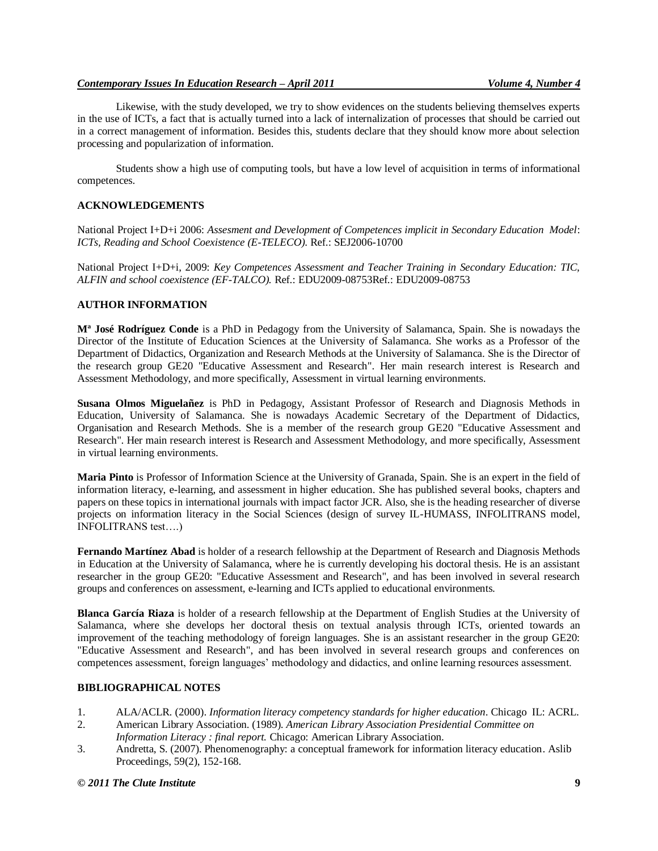Likewise, with the study developed, we try to show evidences on the students believing themselves experts in the use of ICTs, a fact that is actually turned into a lack of internalization of processes that should be carried out in a correct management of information. Besides this, students declare that they should know more about selection processing and popularization of information.

Students show a high use of computing tools, but have a low level of acquisition in terms of informational competences.

## **ACKNOWLEDGEMENTS**

National Project I+D+i 2006: *Assesment and Development of Competences implicit in Secondary Education Model*: *ICTs, Reading and School Coexistence (E-TELECO)*. Ref.: SEJ2006-10700

National Project I+D+i, 2009: *Key Competences Assessment and Teacher Training in Secondary Education: TIC, ALFIN and school coexistence (EF-TALCO).* Ref.: EDU2009-08753Ref.: EDU2009-08753

## **AUTHOR INFORMATION**

**Mª José Rodríguez Conde** is a PhD in Pedagogy from the University of Salamanca, Spain. She is nowadays the Director of the Institute of Education Sciences at the University of Salamanca. She works as a Professor of the Department of Didactics, Organization and Research Methods at the University of Salamanca. She is the Director of the research group GE20 "Educative Assessment and Research". Her main research interest is Research and Assessment Methodology, and more specifically, Assessment in virtual learning environments.

**Susana Olmos Miguelañez** is PhD in Pedagogy, Assistant Professor of Research and Diagnosis Methods in Education, University of Salamanca. She is nowadays Academic Secretary of the Department of Didactics, Organisation and Research Methods. She is a member of the research group GE20 "Educative Assessment and Research". Her main research interest is Research and Assessment Methodology, and more specifically, Assessment in virtual learning environments.

**Maria Pinto** is Professor of Information Science at the University of Granada, Spain. She is an expert in the field of information literacy, e-learning, and assessment in higher education. She has published several books, chapters and papers on these topics in international journals with impact factor JCR. Also, she is the heading researcher of diverse projects on information literacy in the Social Sciences (design of survey IL-HUMASS, INFOLITRANS model, INFOLITRANS test....)

**Fernando Martínez Abad** is holder of a research fellowship at the Department of Research and Diagnosis Methods in Education at the University of Salamanca, where he is currently developing his doctoral thesis. He is an assistant researcher in the group GE20: "Educative Assessment and Research", and has been involved in several research groups and conferences on assessment, e-learning and ICTs applied to educational environments.

**Blanca García Riaza** is holder of a research fellowship at the Department of English Studies at the University of Salamanca, where she develops her doctoral thesis on textual analysis through ICTs, oriented towards an improvement of the teaching methodology of foreign languages. She is an assistant researcher in the group GE20: "Educative Assessment and Research", and has been involved in several research groups and conferences on competences assessment, foreign languages' methodology and didactics, and online learning resources assessment.

## **BIBLIOGRAPHICAL NOTES**

- 1. ALA/ACLR. (2000). *Information literacy competency standards for higher education*. Chicago IL: ACRL.
- 2. American Library Association. (1989). *American Library Association Presidential Committee on Information Literacy : final report.* Chicago: American Library Association.
- 3. Andretta, S. (2007). Phenomenography: a conceptual framework for information literacy education. Aslib Proceedings, 59(2), 152-168.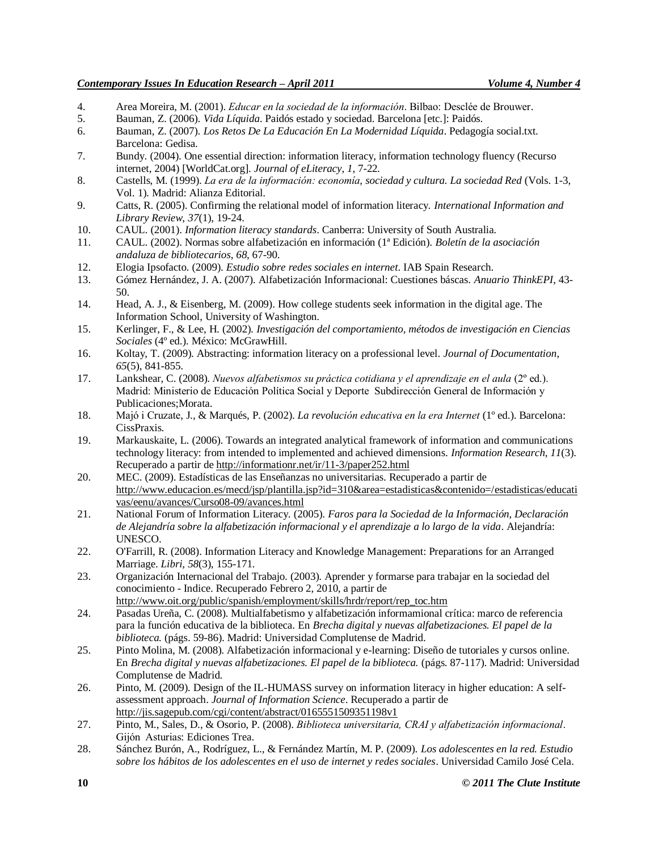- 4. Area Moreira, M. (2001). *Educar en la sociedad de la información*. Bilbao: Desclée de Brouwer.
- 5. Bauman, Z. (2006). *Vida Líquida*. Paidós estado y sociedad. Barcelona [etc.]: Paidós.
- 6. Bauman, Z. (2007). *Los Retos De La Educación En La Modernidad Líquida*. Pedagogía social.txt. Barcelona: Gedisa.
- 7. Bundy. (2004). One essential direction: information literacy, information technology fluency (Recurso internet, 2004) [WorldCat.org]. *Journal of eLiteracy*, *1*, 7-22.
- 8. Castells, M. (1999). *La era de la información: economía, sociedad y cultura. La sociedad Red* (Vols. 1-3, Vol. 1). Madrid: Alianza Editorial.
- 9. Catts, R. (2005). Confirming the relational model of information literacy. *International Information and Library Review*, *37*(1), 19-24.
- 10. CAUL. (2001). *Information literacy standards*. Canberra: University of South Australia.
- 11. CAUL. (2002). Normas sobre alfabetización en información (1ª Edición). *Boletín de la asociación andaluza de bibliotecarios*, *68*, 67-90.
- 12. Elogia Ipsofacto. (2009). *Estudio sobre redes sociales en internet*. IAB Spain Research.
- 13. Gómez Hernández, J. A. (2007). Alfabetización Informacional: Cuestiones báscas. *Anuario ThinkEPI*, 43- 50.
- 14. Head, A. J., & Eisenberg, M. (2009). How college students seek information in the digital age. The Information School, University of Washington.
- 15. Kerlinger, F., & Lee, H. (2002). *Investigación del comportamiento, métodos de investigación en Ciencias Sociales* (4º ed.). México: McGrawHill.
- 16. Koltay, T. (2009). Abstracting: information literacy on a professional level. *Journal of Documentation*, *65*(5), 841-855.
- 17. Lankshear, C. (2008). Nuevos alfabetismos su práctica cotidiana y el aprendizaje en el aula ( $2^{\circ}$  ed.). Madrid: Ministerio de Educación Política Social y Deporte Subdirección General de Información y Publicaciones;Morata.
- 18. Majó i Cruzate, J., & Marqués, P. (2002). *La revolución educativa en la era Internet* (1<sup>°</sup> ed.). Barcelona: CissPraxis.
- 19. Markauskaite, L. (2006). Towards an integrated analytical framework of information and communications technology literacy: from intended to implemented and achieved dimensions. *Information Research*, *11*(3). Recuperado a partir de http://informationr.net/ir/11-3/paper252.html
- 20. MEC. (2009). Estadísticas de las Enseñanzas no universitarias. Recuperado a partir de http://www.educacion.es/mecd/jsp/plantilla.jsp?id=310&area=estadisticas&contenido=/estadisticas/educati vas/eenu/avances/Curso08-09/avances.html
- 21. National Forum of Information Literacy. (2005). *Faros para la Sociedad de la Información, Declaración de Alejandría sobre la alfabetización informacional y el aprendizaje a lo largo de la vida*. Alejandría: UNESCO.
- 22. O'Farrill, R. (2008). Information Literacy and Knowledge Management: Preparations for an Arranged Marriage. *Libri*, *58*(3), 155-171.
- 23. Organización Internacional del Trabajo. (2003). Aprender y formarse para trabajar en la sociedad del conocimiento - Indice. Recuperado Febrero 2, 2010, a partir de http://www.oit.org/public/spanish/employment/skills/hrdr/report/rep\_toc.htm
- 24. Pasadas Ureña, C. (2008). Multialfabetismo y alfabetización informamional crítica: marco de referencia para la función educativa de la biblioteca. En *Brecha digital y nuevas alfabetizaciones. El papel de la biblioteca.* (págs. 59-86). Madrid: Universidad Complutense de Madrid.
- 25. Pinto Molina, M. (2008). Alfabetización informacional y e-learning: Diseño de tutoriales y cursos online. En *Brecha digital y nuevas alfabetizaciones. El papel de la biblioteca.* (págs. 87-117). Madrid: Universidad Complutense de Madrid.
- 26. Pinto, M. (2009). Design of the IL-HUMASS survey on information literacy in higher education: A selfassessment approach. *Journal of Information Science*. Recuperado a partir de http://jis.sagepub.com/cgi/content/abstract/0165551509351198v1
- 27. Pinto, M., Sales, D., & Osorio, P. (2008). Biblioteca universitaria, CRAI y alfabetización informacional. Gijón Asturias: Ediciones Trea.
- 28. Sánchez Burón, A., Rodríguez, L., & Fernández Martín, M. P. (2009). *Los adolescentes en la red. Estudio sobre los hábitos de los adolescentes en el uso de internet y redes sociales*. Universidad Camilo José Cela.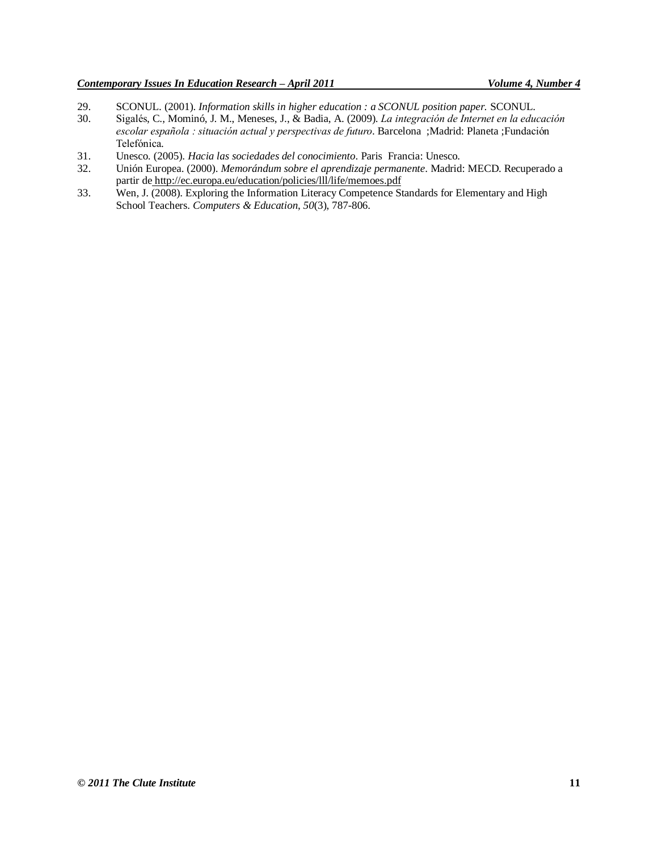- 29. SCONUL. (2001). *Information skills in higher education : a SCONUL position paper.* SCONUL.
- Sigalés, C., Mominó, J. M., Meneses, J., & Badia, A. (2009). La integración de Internet en la educación escolar española : situación actual y perspectivas de futuro. Barcelona : Madrid: Planeta : Fundación Telefónica.
- 31. Unesco. (2005). *Hacia las sociedades del conocimiento*. Paris Francia: Unesco.
- 32. Unión Europea. (2000). *Memorándum sobre el aprendizaje permanente*. Madrid: MECD. Recuperado a partir de http://ec.europa.eu/education/policies/lll/life/memoes.pdf
- 33. Wen, J. (2008). Exploring the Information Literacy Competence Standards for Elementary and High School Teachers. *Computers & Education*, *50*(3), 787-806.